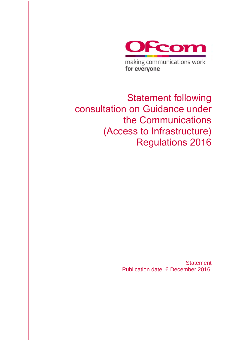

making communications work for everyone

Statement following consultation on Guidance under the Communications (Access to Infrastructure) Regulations 2016

> **Statement** Publication date: 6 December 2016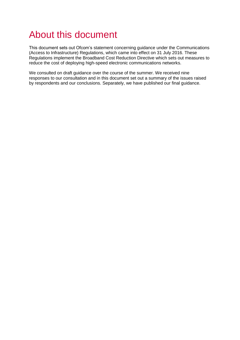# About this document

This document sets out Ofcom's statement concerning guidance under the Communications (Access to Infrastructure) Regulations, which came into effect on 31 July 2016. These Regulations implement the Broadband Cost Reduction Directive which sets out measures to reduce the cost of deploying high-speed electronic communications networks.

We consulted on draft guidance over the course of the summer. We received nine responses to our consultation and in this document set out a summary of the issues raised by respondents and our conclusions. Separately, we have published our final guidance.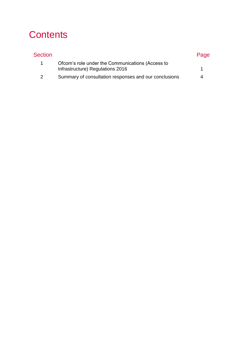# **Contents**

| Section       |                                                                                      | Page |
|---------------|--------------------------------------------------------------------------------------|------|
|               | Ofcom's role under the Communications (Access to<br>Infrastructure) Regulations 2016 |      |
|               |                                                                                      |      |
| $\mathcal{P}$ | Summary of consultation responses and our conclusions                                | 4    |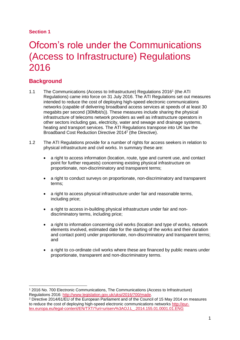## **Section 1**

# <span id="page-4-0"></span>Ofcom's role under the Communications (Access to Infrastructure) Regulations 2016

# **Background**

- 1.1 The Communications (Access to Infrastructure) Regulations 2016<sup>1</sup> (the ATI Regulations) came into force on 31 July 2016. The ATI Regulations set out measures intended to reduce the cost of deploying high-speed electronic communications networks (capable of delivering broadband access services at speeds of at least 30 megabits per second (30Mbit/s)). These measures include sharing the physical infrastructure of telecoms network providers as well as infrastructure operators in other sectors including gas, electricity, water and sewage and drainage systems, heating and transport services. The ATI Regulations transpose into UK law the Broadband Cost Reduction Directive 2014<sup>2</sup> (the Directive).
- 1.2 The ATI Regulations provide for a number of rights for access seekers in relation to physical infrastructure and civil works. In summary these are:
	- a right to access information (location, route, type and current use, and contact point for further requests) concerning existing physical infrastructure on proportionate, non-discriminatory and transparent terms;
	- a right to conduct surveys on proportionate, non-discriminatory and transparent terms;
	- a right to access physical infrastructure under fair and reasonable terms, including price;
	- a right to access in-building physical infrastructure under fair and nondiscriminatory terms, including price;
	- a right to information concerning civil works (location and type of works, network elements involved, estimated date for the starting of the works and their duration and contact point) under proportionate, non-discriminatory and transparent terms; and
	- a right to co-ordinate civil works where these are financed by public means under proportionate, transparent and non-discriminatory terms.

<sup>-</sup><sup>1</sup> 2016 No. 700 Electronic Communications, The Communications (Access to Infrastructure) Regulations 2016: [http://www.legislation.gov.uk/uksi/2016/700/made.](http://www.legislation.gov.uk/uksi/2016/700/made)

<sup>2</sup> Directive 2014/61/EU of the European Parliament and of the Council of 15 May 2014 on measures to reduce the cost of deploying high-speed electronic communications networks [http://eur](http://eur-lex.europa.eu/legal-content/EN/TXT/?uri=uriserv%3AOJ.L_.2014.155.01.0001.01.ENG)[lex.europa.eu/legal-content/EN/TXT/?uri=uriserv%3AOJ.L\\_.2014.155.01.0001.01.ENG](http://eur-lex.europa.eu/legal-content/EN/TXT/?uri=uriserv%3AOJ.L_.2014.155.01.0001.01.ENG)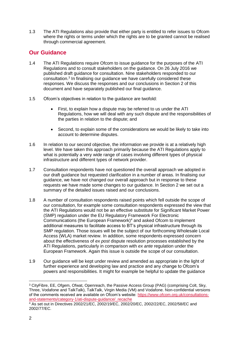1.3 The ATI Regulations also provide that either party is entitled to refer issues to Ofcom where the rights or terms under which the rights are to be granted cannot be realised through commercial agreement.

# **Our Guidance**

- 1.4 The ATI Regulations require Ofcom to issue guidance for the purposes of the ATI Regulations and to consult stakeholders on the guidance. On 26 July 2016 we published draft guidance for consultation. Nine stakeholders responded to our consultation.<sup>3</sup> In finalising our guidance we have carefully considered these responses. We discuss the responses and our conclusions in Section 2 of this document and have separately published our final guidance.
- 1.5 Ofcom's objectives in relation to the guidance are twofold:
	- First, to explain how a dispute may be referred to us under the ATI Regulations, how we will deal with any such dispute and the responsibilities of the parties in relation to the dispute; and
	- Second, to explain some of the considerations we would be likely to take into account to determine disputes.
- 1.6 In relation to our second objective, the information we provide is at a relatively high level. We have taken this approach primarily because the ATI Regulations apply to what is potentially a very wide range of cases involving different types of physical infrastructure and different types of network provider.
- 1.7 Consultation respondents have not questioned the overall approach we adopted in our draft guidance but requested clarification in a number of areas. In finalising our guidance, we have not changed our overall approach but in response to these requests we have made some changes to our guidance. In Section 2 we set out a summary of the detailed issues raised and our conclusions.
- 1.8 A number of consultation respondents raised points which fell outside the scope of our consultation, for example some consultation respondents expressed the view that the ATI Regulations would not be an effective substitute for Significant Market Power (SMP) regulation under the EU Regulatory Framework For Electronic Communications (the European Framework)<sup>4</sup> and asked Ofcom to implement additional measures to facilitate access to BT's physical infrastructure through its SMP regulation. Those issues will be the subject of our forthcoming Wholesale Local Access (WLA) market review. In addition, some respondents expressed concern about the effectiveness of *ex post* dispute resolution processes established by the ATI Regulations, particularly in comparison with *ex ante* regulation under the European Framework. Again this issue is outside the scope of our consultation.
- 1.9 Our guidance will be kept under review and amended as appropriate in the light of further experience and developing law and practice and any change to Ofcom's powers and responsibilities. It might for example be helpful to update the guidance

 $\overline{a}$ 

<sup>&</sup>lt;sup>3</sup> CityFibre, EE, Ofgem, Ofwat, Openreach, the Passive Access Group (PAG) (comprising Colt, Sky, Three, Vodafone and TalkTalk), TalkTalk, Virgin Media (VM) and Vodafone. Non-confidential versions of the comments received are available on Ofcom's website: [https://www.ofcom.org.uk/consultations](https://www.ofcom.org.uk/consultations-and-statements/category-1/ati-dispute-guidance/_recache)[and-statements/category-1/ati-dispute-guidance/\\_recache](https://www.ofcom.org.uk/consultations-and-statements/category-1/ati-dispute-guidance/_recache)

<sup>4</sup> As set out in Directives 2002/21/EC, 2002/19/EC, 2002/20/EC, 2002/22/EC, 2002/58/EC and 2002/77/EC.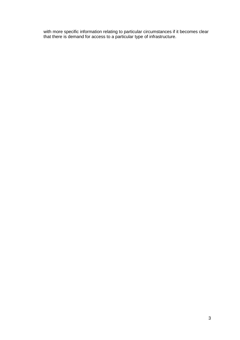with more specific information relating to particular circumstances if it becomes clear that there is demand for access to a particular type of infrastructure.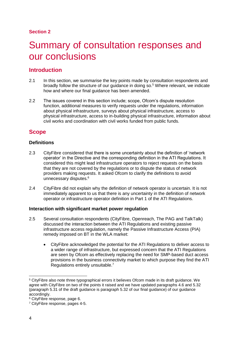## **Section 2**

# <span id="page-7-0"></span>Summary of consultation responses and our conclusions

# **Introduction**

- 2.1 In this section, we summarise the key points made by consultation respondents and broadly follow the structure of our guidance in doing so. <sup>5</sup> Where relevant, we indicate how and where our final guidance has been amended.
- 2.2 The issues covered in this section include; scope, Ofcom's dispute resolution function, additional measures to verify requests under the regulations, information about physical infrastructure, surveys about physical infrastructure, access to physical infrastructure, access to in-building physical infrastructure, information about civil works and coordination with civil works funded from public funds.

# **Scope**

## **Definitions**

- 2.3 CityFibre considered that there is some uncertainty about the definition of 'network operator' in the Directive and the corresponding definition in the ATI Regulations. It considered this might lead infrastructure operators to reject requests on the basis that they are not covered by the regulations or to dispute the status of network providers making requests. It asked Ofcom to clarify the definitions to avoid unnecessary disputes.<sup>6</sup>
- 2.4 CityFibre did not explain why the definition of network operator is uncertain. It is not immediately apparent to us that there is any uncertainty in the definition of network operator or infrastructure operator definition in Part 1 of the ATI Regulations.

## **Interaction with significant market power regulation**

- 2.5 Several consultation respondents (CityFibre, Openreach, The PAG and TalkTalk) discussed the interaction between the ATI Regulations and existing passive infrastructure access regulation, namely the Passive Infrastructure Access (PIA) remedy imposed on BT in the WLA market:
	- CityFibre acknowledged the potential for the ATI Regulations to deliver access to a wider range of infrastructure, but expressed concern that the ATI Regulations are seen by Ofcom as effectively replacing the need for SMP-based duct access provisions in the business connectivity market to which purpose they find the ATI Regulations entirely unsuitable.<sup>7</sup>

<sup>5</sup> CityFibre also note three typographical errors it believes Ofcom made in its draft guidance. We agree with CityFibre on two of the points it raised and we have updated paragraphs 4.6 and 5.32 (paragraph 5.31 of the draft guidance is paragraph 5.32 of our final guidance) of our guidance accordingly.

<sup>6</sup> CityFibre response, page 6.

<sup>7</sup> CityFibre response, pages 4-5.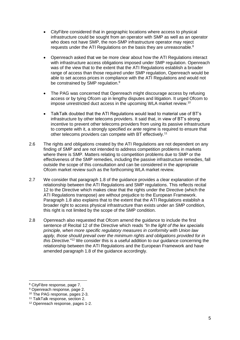- CityFibre considered that in geographic locations where access to physical infrastructure could be sought from an operator with SMP as well as an operator who does not have SMP, the non-SMP infrastructure operator may reject requests under the ATI Regulations on the basis they are unreasonable.<sup>8</sup>
- Openreach asked that we be more clear about how the ATI Regulations interact with infrastructure access obligations imposed under SMP regulation. Openreach was of the view that to the extent that the ATI Regulations establish a broader range of access than those required under SMP regulation, Openreach would be able to set access prices in compliance with the ATI Regulations and would not be constrained by SMP regulation.<sup>9</sup>
- The PAG was concerned that Openreach might discourage access by refusing access or by tying Ofcom up in lengthy disputes and litigation. It urged Ofcom to impose unrestricted duct access in the upcoming WLA market review.<sup>10</sup>
- TalkTalk doubted that the ATI Regulations would lead to material use of BT's infrastructure by other telecoms providers. It said that, in view of BT's strong incentive to prevent other telecoms providers from using its passive infrastructure to compete with it, a strongly specified *ex ante* regime is required to ensure that other telecoms providers can compete with BT effectively.<sup>11</sup>
- 2.6 The rights and obligations created by the ATI Regulations are not dependent on any finding of SMP and are not intended to address competition problems in markets where there is SMP. Matters relating to competition problems due to SMP or the effectiveness of the SMP remedies, including the passive infrastructure remedies, fall outside the scope of this consultation and can be considered in the appropriate Ofcom market review such as the forthcoming WLA market review.
- 2.7 We consider that paragraph 1.8 of the guidance provides a clear explanation of the relationship between the ATI Regulations and SMP regulations. This reflects recital 12 to the Directive which makes clear that the rights under the Directive (which the ATI Regulations transpose) are without prejudice to the European Framework. Paragraph 1.8 also explains that to the extent that the ATI Regulations establish a broader right to access physical infrastructure than exists under an SMP condition, this right is not limited by the scope of the SMP condition.
- 2.8 Openreach also requested that Ofcom amend the guidance to include the first sentence of Recital 12 of the Directive which reads *"In the light of the lex specialis principle, when more specific regulatory measures in conformity with Union law apply, those should prevail over the minimum rights and obligations provided for in this Directive.*" <sup>12</sup> We consider this is a useful addition to our guidance concerning the relationship between the ATI Regulations and the European Framework and have amended paragraph 1.8 of the guidance accordingly.

<sup>8</sup> CityFibre response, page 7.

<sup>9</sup> Openreach response, page 2.

<sup>10</sup> The PAG response, pages 2-3.

<sup>11</sup> TalkTalk response, section 2.

<sup>12</sup> Openreach response, pages 1-2.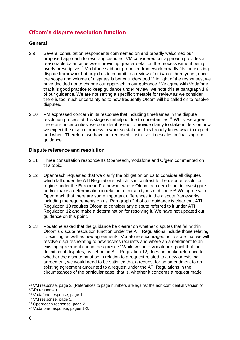# **Ofcom's dispute resolution function**

## **General**

- 2.9 Several consultation respondents commented on and broadly welcomed our proposed approach to resolving disputes. VM considered our approach provides a reasonable balance between providing greater detail on the process without being overly prescriptive.<sup>13</sup> Vodafone said our proposed framework broadly fits the existing dispute framework but urged us to commit to a review after two or three years, once the scope and volume of disputes is better understood.<sup>14</sup> In light of the responses, we have decided not to change our approach in our guidance. We agree with Vodafone that it is good practice to keep guidance under review; we note this at paragraph 1.6 of our guidance. We are not setting a specific timetable for review as we consider there is too much uncertainty as to how frequently Ofcom will be called on to resolve disputes.
- 2.10 VM expressed concern in its response that including timeframes in the dispute resolution process at this stage is unhelpful due to uncertainties. <sup>15</sup> Whilst we agree there are uncertainties, we consider it useful to provide clarity to stakeholders on how we expect the dispute process to work so stakeholders broadly know what to expect and when. Therefore, we have not removed illustrative timescales in finalising our guidance.

## **Dispute reference and resolution**

- 2.11 Three consultation respondents Openreach, Vodafone and Ofgem commented on this topic.
- 2.12 Openreach requested that we clarify the obligation on us to consider all disputes which fall under the ATI Regulations, which is in contrast to the dispute resolution regime under the European Framework where Ofcom can decide not to investigate and/or make a determination in relation to certain types of dispute. <sup>16</sup> We agree with Openreach that there are some important differences in the dispute frameworks including the requirements on us. Paragraph 2.4 of our guidance is clear that ATI Regulation 13 requires Ofcom to consider any dispute referred to it under ATI Regulation 12 and make a determination for resolving it. We have not updated our guidance on this point.
- 2.13 Vodafone asked that the guidance be clearer on whether disputes that fall within Ofcom's dispute resolution function under the ATI Regulations include those relating to existing as well as new agreements. Vodafone encouraged us to state that we will resolve disputes relating to new access requests and where an amendment to an existing agreement cannot be agreed.<sup>17</sup> While we note Vodafone's point that the definition of disputes, as set out in ATI Regulation 12, does not make reference to whether the dispute must be in relation to a request related to a new or existing agreement, we would need to be satisfied that a request for an amendment to an existing agreement amounted to a request under the ATI Regulations in the circumstances of the particular case; that is, whether it concerns a request made

 $\overline{a}$ 

<sup>&</sup>lt;sup>13</sup> VM response, page 2. (References to page numbers are against the non-confidential version of VM's response).

<sup>14</sup> Vodafone response, page 1.

<sup>15</sup> VM response, page 5.

<sup>16</sup> Openreach response, page 2.

<sup>17</sup> Vodafone response, pages 1-2.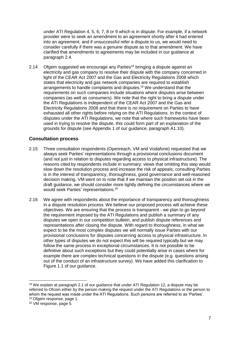under ATI Regulation 4, 5, 6, 7, 8 or 9 which is in dispute. For example, if a network provider were to seek an amendment to an agreement shortly after it had entered into an agreement, and if unsuccessful refer a dispute to us, we would need to consider carefully if there was a genuine dispute as to that amendment. We have clarified that amendments to agreements may be included in our guidance at paragraph 2.4.

2.14 Ofgem suggested we encourage any Parties<sup>18</sup> bringing a dispute against an electricity and gas company to resolve their dispute with the company concerned in light of the CEAR Act 2007 and the Gas and Electricity Regulations 2008 which states that electricity and gas network companies are required to establish arrangements to handle complaints and disputes.<sup>19</sup> We understand that the requirements on such companies include situations where disputes arise between companies (as well as consumers). We note that the right to bring a dispute under the ATI Regulations is independent of the CEAR Act 2007 and the Gas and Electricity Regulations 2008 and that there is no requirement on Parties to have exhausted all other rights before relying on the ATI Regulations. In the context of disputes under the ATI Regulations, we note that where such frameworks have been used in trying to resolve the dispute, this could form part of an explanation of the grounds for dispute (see Appendix 1 of our guidance, paragraph A1.10).

## **Consultation process**

- 2.15 Three consultation respondents (Openreach, VM and Vodafone) requested that we always seek Parties' representations through a provisional conclusions document (and not just in relation to disputes regarding access to physical infrastructure). The reasons cited by respondents include in summary: views that omitting this step would slow down the resolution process and increase the risk of appeals; consulting Parties is in the interest of transparency, thoroughness, good governance and well-reasoned decision making. VM went on to note that if we maintain the position set out in the draft guidance, we should consider more tightly defining the circumstances where we would seek Parties' representations.<sup>20</sup>
- 2.16 We agree with respondents about the importance of transparency and thoroughness in a dispute resolution process. We believe our proposed process will achieve these objectives. We are ensuring that the process is transparent - we plan to go beyond the requirement imposed by the ATI Regulations and publish a summary of any disputes we open in our competition bulletin, and publish dispute references and representations after closing the dispute. With regard to thoroughness, in what we expect to be the most complex disputes we will normally issue Parties with our provisional conclusions for disputes concerning access to physical infrastructure. In other types of disputes we do not expect this will be required typically but we may follow the same process in exceptional circumstances. It is not possible to be definitive about such exceptions but they could potentially arise in cases where for example there are complex technical questions in the dispute (e.g. questions arising out of the conduct of an infrastructure survey). We have added this clarification to Figure 1.1 of our guidance.

<sup>-</sup><sup>18</sup> We explain at paragraph 2.1 of our guidance that under ATI Regulation 12, a dispute may be referred to Ofcom either by the person making the request under the ATI Regulations or the person to whom the request was made under the ATI Regulations. Such persons are referred to as 'Parties'. <sup>19</sup> Ofgem response, page 1.

<sup>20</sup> VM response, page 5.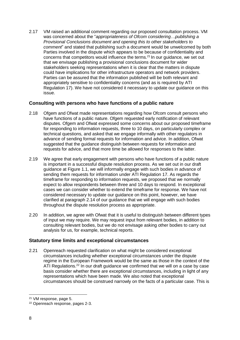2.17 VM raised an additional comment regarding our proposed consultation process. VM was concerned about the "*appropriateness of Ofcom considering…publishing a Provisional Conclusions document and opening this to other stakeholders to comment*" and stated that publishing such a document would be unwelcomed by both Parties involved in the dispute which appears to be because of confidentiality and concerns that competitors would influence the terms. <sup>21</sup> In our guidance, we set out that we envisage publishing a provisional conclusions document for wider stakeholders seeking representations when it is clear that the matters in dispute could have implications for other infrastructure operators and network providers. Parties can be assured that the information published will be both relevant and appropriately sensitive to confidentiality concerns (and as is required by ATI Regulation 17). We have not considered it necessary to update our guidance on this issue.

## **Consulting with persons who have functions of a public nature**

- 2.18 Ofgem and Ofwat made representations regarding how Ofcom consult persons who have functions of a public nature. Ofgem requested early notification of relevant disputes. Ofgem and Ofwat expressed some concerns about our proposed timeframe for responding to information requests, three to 10 days, on particularly complex or technical questions, and asked that we engage informally with other regulators in advance of sending formal requests for information and advice. In addition, Ofwat suggested that the guidance distinguish between requests for information and requests for advice, and that more time be allowed for responses to the latter.
- 2.19 We agree that early engagement with persons who have functions of a public nature is important in a successful dispute resolution process. As we set out in our draft guidance at Figure 1.1, we will informally engage with such bodies in advance of sending them requests for information under ATI Regulation 17. As regards the timeframe for responding to information requests, we proposed that we normally expect to allow respondents between three and 10 days to respond. In exceptional cases we can consider whether to extend the timeframe for response. We have not considered necessary to update our guidance on this point, however, we have clarified at paragraph 2.14 of our guidance that we will engage with such bodies throughout the dispute resolution process as appropriate.
- 2.20 In addition, we agree with Ofwat that it is useful to distinguish between different types of input we may require. We may request input from relevant bodies, in addition to consulting relevant bodies, but we do not envisage asking other bodies to carry out analysis for us, for example, technical reports.

## **Statutory time limits and exceptional circumstances**

2.21 Openreach requested clarification on what might be considered exceptional circumstances including whether exceptional circumstances under the dispute regime in the European Framework would be the same as those in the context of the ATI Regulations.<sup>22</sup> In our draft guidance we confirmed that we will on a case by case basis consider whether there are exceptional circumstances, including in light of any representations which have been made. We also noted that exceptional circumstances should be construed narrowly on the facts of a particular case. This is

 $\overline{a}$ <sup>21</sup> VM response, page 5.

<sup>22</sup> Openreach response, pages 2-3.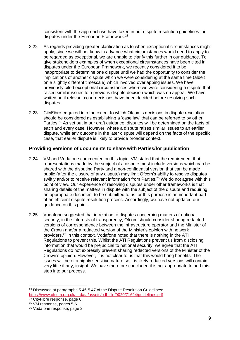consistent with the approach we have taken in our dispute resolution guidelines for disputes under the European Framework.<sup>23</sup>

- 2.22 As regards providing greater clarification as to when exceptional circumstances might apply, since we will not know in advance what circumstances would need to apply to be regarded as exceptional, we are unable to clarify this further in our guidance. To give stakeholders examples of when exceptional circumstances have been cited in disputes under the European Framework, we recently considered it to be inappropriate to determine one dispute until we had the opportunity to consider the implications of another dispute which we were considering at the same time (albeit on a slightly different timescale) which involved overlapping issues. We have previously cited exceptional circumstances where we were considering a dispute that raised similar issues to a previous dispute decision which was on appeal. We have waited until relevant court decisions have been decided before resolving such disputes.
- 2.23 CityFibre enquired into the extent to which Ofcom's decisions in dispute resolution should be considered as establishing a 'case law' that can be referred to by other Parties.<sup>24</sup> As set out in our draft guidance, disputes will be determined on the facts of each and every case. However, where a dispute raises similar issues to an earlier dispute, while any outcome in the later dispute will depend on the facts of the specific case, that earlier dispute is likely to provide broader context.

#### **Providing versions of documents to share with Parties/for publication**

- 2.24 VM and Vodafone commented on this topic. VM stated that the requirement that representations made by the subject of a dispute must include versions which can be shared with the disputing Party and a non-confidential version that can be made public (after the closure of any dispute) may limit Ofcom's ability to resolve disputes swiftly and/or to receive relevant information from Parties.<sup>25</sup> We do not agree with this point of view. Our experience of resolving disputes under other frameworks is that sharing details of the matters in dispute with the subject of the dispute and requiring an appropriate document to be submitted to us for this purpose is an important part of an efficient dispute resolution process. Accordingly, we have not updated our guidance on this point.
- 2.25 Vodafone suggested that in relation to disputes concerning matters of national security, in the interests of transparency, Ofcom should consider sharing redacted versions of correspondence between the infrastructure operator and the Minister of the Crown and/or a redacted version of the Minister's opinion with network providers. <sup>26</sup> In this context, Vodafone noted that there is nothing in the ATI Regulations to prevent this. Whilst the ATI Regulations prevent us from disclosing information that would be prejudicial to national security, we agree that the ATI Regulations do not expressly prevent sharing redacted versions of the Minister of the Crown's opinion. However, it is not clear to us that this would bring benefits. The issues will be of a highly sensitive nature so it is likely redacted versions will contain very little if any, insight. We have therefore concluded it is not appropriate to add this step into our process.

<sup>&</sup>lt;sup>23</sup> Discussed at paragraphs 5.46-5.47 of the Dispute Resolution Guidelines: [https://www.ofcom.org.uk/\\_\\_data/assets/pdf\\_file/0020/71624/guidelines.pdf](https://www.ofcom.org.uk/__data/assets/pdf_file/0020/71624/guidelines.pdf)

<sup>&</sup>lt;sup>24</sup> CityFibre response, page 6.

<sup>25</sup> VM response, pages 5-6.

<sup>26</sup> Vodafone response, page 2.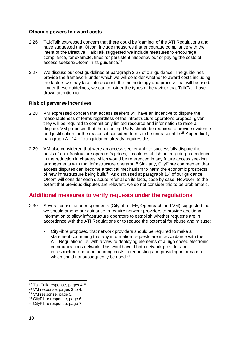#### **Ofcom's powers to award costs**

- 2.26 TalkTalk expressed concern that there could be 'gaming' of the ATI Regulations and have suggested that Ofcom include measures that encourage compliance with the intent of the Directive. TalkTalk suggested we include measures to encourage compliance, for example, fines for persistent misbehaviour or paying the costs of access seekers/Ofcom in its guidance.<sup>27</sup>
- 2.27 We discuss our cost guidelines at paragraph 2.27 of our guidance. The guidelines provide the framework under which we will consider whether to award costs including the factors we may take into account, the methodology and process that will be used. Under these guidelines, we can consider the types of behaviour that TalkTalk have drawn attention to.

## **Risk of perverse incentives**

- 2.28 VM expressed concern that access seekers will have an incentive to dispute the reasonableness of terms regardless of the infrastructure operator's proposal given they will be required to commit only limited resource and information to raise a dispute. VM proposed that the disputing Party should be required to provide evidence and justification for the reasons it considers terms to be unreasonable.<sup>28</sup> Appendix 1, paragraph A1.14 of our guidance already requires this.
- 2.29 VM also considered that were an access seeker able to successfully dispute the basis of an infrastructure operator's prices, it could establish an on-going precedence in the reduction in charges which would be referenced in any future access seeking arrangements with that infrastructure operator.<sup>29</sup> Similarly, CityFibre commented that access disputes can become a tactical mechanism to harm the economic prospects of new infrastructure being built.<sup>30</sup> As discussed at paragraph 1.4 of our guidance, Ofcom will consider each dispute referral on its facts, case by case. However, to the extent that previous disputes are relevant, we do not consider this to be problematic.

# **Additional measures to verify requests under the regulations**

- 2.30 Several consultation respondents (CityFibre, EE, Openreach and VM) suggested that we should amend our guidance to require network providers to provide additional information to allow infrastructure operators to establish whether requests are in accordance with the ATI Regulations or to reduce the potential for abuse and misuse:
	- CityFibre proposed that network providers should be required to make a statement confirming that any information requests are in accordance with the ATI Regulations i.e. with a view to deploying elements of a high speed electronic communications network. This would avoid both network provider and infrastructure operator incurring costs in requesting and providing information which could not subsequently be used.<sup>31</sup>

<sup>27</sup> TalkTalk response, pages 4-5.

<sup>28</sup> VM response, pages 3 to 4.

<sup>29</sup> VM response, page 3.

<sup>30</sup> CityFibre response, page 6.

<sup>31</sup> CityFibre response, page 7.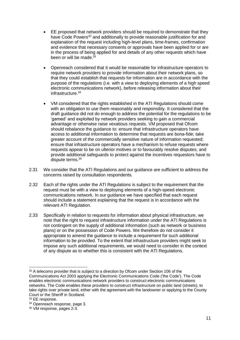- EE proposed that network providers should be required to demonstrate that they have Code Powers<sup>32</sup> and additionally to provide reasonable justification for and explanation of the request including high-level plans, time-frames, confirmation and evidence that necessary consents or approvals have been applied for or are in the process of being applied for and details of any other requests which have been or will be made.<sup>33</sup>
- Openreach considered that it would be reasonable for infrastructure operators to require network providers to provide information about their network plans, so that they could establish that requests for information are in accordance with the purpose of the regulations (i.e. with a view to deploying elements of a high speed electronic communications network), before releasing information about their infrastructure.<sup>34</sup>
- VM considered that the rights established in the ATI Regulations should come with an obligation to use them reasonably and responsibly. It considered that the draft guidance did not do enough to address the potential for the regulations to be 'gamed' and exploited by network providers seeking to gain a commercial advantage or otherwise raise vexatious requests. VM proposed that Ofcom should rebalance the guidance to: ensure that infrastructure operators have access to additional information to determine that requests are bona-fide; take greater account of the commercially sensitive nature of information requested; ensure that infrastructure operators have a mechanism to refuse requests where requests appear to be on ulterior motives or to favourably resolve disputes; and provide additional safeguards to protect against the incentives requestors have to dispute terms.<sup>35</sup>
- 2.31 We consider that the ATI Regulations and our guidance are sufficient to address the concerns raised by consultation respondents.
- 2.32 Each of the rights under the ATI Regulations is subject to the requirement that the request must be with a view to deploying elements of a high-speed electronic communications network. In our guidance we have specified that each request should include a statement explaining that the request is in accordance with the relevant ATI Regulation.
- 2.33 Specifically in relation to requests for information about physical infrastructure, we note that the right to request infrastructure information under the ATI Regulations is not contingent on the supply of additional information (such as network or business plans) or on the possession of Code Powers. We therefore do not consider it appropriate to amend the guidance to include a requirement for such additional information to be provided. To the extent that infrastructure providers might seek to impose any such additional requirements, we would need to consider in the context of any dispute as to whether this is consistent with the ATI Regulations.

<sup>-</sup><sup>32</sup> A telecoms provider that is subject to a direction by Ofcom under Section 106 of the Communications Act 2003 applying the Electronic Communications Code ('the Code'). The Code enables electronic communications network providers to construct electronic communications networks. The Code enables these providers to construct infrastructure on public land (streets), to take rights over private land, either with the agreement with the landowner or applying to the County Court or the Sheriff in Scotland.

<sup>33</sup> EE response.

<sup>34</sup> Openreach response, page 3.

<sup>35</sup> VM response, pages 2-3.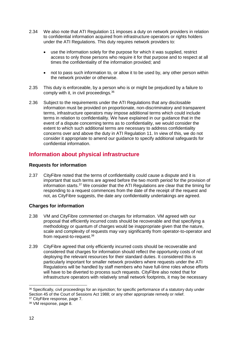- 2.34 We also note that ATI Regulation 11 imposes a duty on network providers in relation to confidential information acquired from infrastructure operators or rights holders under the ATI Regulations. This duty requires network providers to:
	- use the information solely for the purpose for which it was supplied, restrict access to only those persons who require it for that purpose and to respect at all times the confidentiality of the information provided; and
	- not to pass such information to, or allow it to be used by, any other person within the network provider or otherwise.
- 2.35 This duty is enforceable, by a person who is or might be prejudiced by a failure to comply with it, in civil proceedings. 36
- 2.36 Subject to the requirements under the ATI Regulations that any disclosable information must be provided on proportionate, non-discriminatory and transparent terms, infrastructure operators may impose additional terms which could include terms in relation to confidentiality. We have explained in our guidance that in the event of a dispute concerning terms as to confidentiality, we would consider the extent to which such additional terms are necessary to address confidentiality concerns over and above the duty in ATI Regulation 11. In view of this, we do not consider it appropriate to amend our guidance to specify additional safeguards for confidential information.

# **Information about physical infrastructure**

## **Requests for information**

2.37 CityFibre noted that the terms of confidentiality could cause a dispute and it is important that such terms are agreed before the two month period for the provision of information starts.<sup>37</sup> We consider that the ATI Regulations are clear that the timing for responding to a request commences from the date of the receipt of the request and not, as CityFibre suggests, the date any confidentiality undertakings are agreed.

## **Charges for information**

- 2.38 VM and CityFibre commented on charges for information. VM agreed with our proposal that efficiently incurred costs should be recoverable and that specifying a methodology or quantum of charges would be inappropriate given that the nature, scale and complexity of requests may vary significantly from operator-to-operator and from request-to-request.<sup>38</sup>
- 2.39 CityFibre agreed that only efficiently incurred costs should be recoverable and considered that charges for information should reflect the opportunity costs of not deploying the relevant resources for their standard duties. It considered this is particularly important for smaller network providers where requests under the ATI Regulations will be handled by staff members who have full-time roles whose efforts will have to be diverted to process such requests. CityFibre also noted that for infrastructure operators with relatively small network footprints, it may be necessary

<sup>-</sup>36 Specifically, civil proceedings for an injunction; for specific performance of a statutory duty under Section 45 of the Court of Sessions Act 1988; or any other appropriate remedy or relief.

<sup>37</sup> CityFibre response, page 7.

<sup>38</sup> VM response, page 8.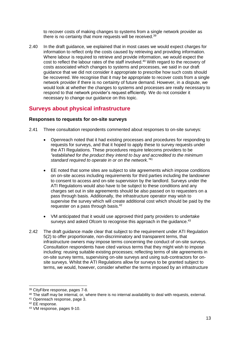to recover costs of making changes to systems from a single network provider as there is no certainty that more requests will be received.<sup>39</sup>

2.40 In the draft guidance, we explained that in most cases we would expect charges for information to reflect only the costs caused by retrieving and providing information. Where labour is required to retrieve and provide information, we would expect the cost to reflect the labour rates of the staff involved. <sup>40</sup> With regard to the recovery of costs associated which changes to systems and processes, we said in our draft guidance that we did not consider it appropriate to prescribe how such costs should be recovered. We recognise that it may be appropriate to recover costs from a single network provider if there is no certainty of future demand. However, in a dispute, we would look at whether the changes to systems and processes are really necessary to respond to that network provider's request efficiently. We do not consider it necessary to change our guidance on this topic.

# **Surveys about physical infrastructure**

#### **Responses to requests for on-site surveys**

- 2.41 Three consultation respondents commented about responses to on-site surveys:
	- Openreach noted that it had existing processes and procedures for responding to requests for surveys, and that it hoped to apply these to survey requests under the ATI Regulations. These procedures require telecoms providers to be *"established for the product they intend to buy and accredited to the minimum standard required to operate in or on the network."* 41
	- EE noted that some sites are subject to site agreements which impose conditions on on-site access including requirements for third parties including the landowner to consent to access and on-site supervision by the landlord. Surveys under the ATI Regulations would also have to be subject to these conditions and any charges set out in site agreements should be also passed on to requesters on a pass through basis. Additionally, the infrastructure operator may wish to supervise the survey which will create additional cost which should be paid by the requester on a pass through basis.<sup>42</sup>
	- VM anticipated that it would use approved third party providers to undertake surveys and asked Ofcom to recognise this approach in the guidance.<sup>43</sup>
- 2.42 The draft guidance made clear that subject to the requirement under ATI Regulation 5(2) to offer proportionate, non-discriminatory and transparent terms, that infrastructure owners may impose terms concerning the conduct of on-site surveys. Consultation respondents have cited various terms that they might wish to impose including: reusing suitable existing processes; reflecting terms of site agreements in on-site survey terms, supervising on-site surveys and using sub-contractors for onsite surveys. Whilst the ATI Regulations allow for surveys to be granted subject to terms, we would, however, consider whether the terms imposed by an infrastructure

<sup>39</sup> CityFibre response, pages 7-8.

<sup>&</sup>lt;sup>40</sup> The staff may be internal, or, where there is no internal availability to deal with requests, external.

<sup>41</sup> Openreach response, page 3.

<sup>42</sup> EE response.

<sup>43</sup> VM response, pages 9-10.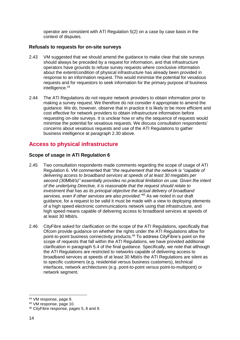operator are consistent with ATI Regulation 5(2) on a case by case basis in the context of disputes.

#### **Refusals to requests for on-site surveys**

- 2.43 VM suggested that we should amend the guidance to make clear that site surveys should always be preceded by a request for information, and that infrastructure operators have grounds to refuse survey requests where conclusive information about the extent/condition of physical infrastructure has already been provided in response to an information request. This would minimise the potential for vexatious requests and for requestors to seek information for the primary purpose of business intelligence. 44
- 2.44 The ATI Regulations do not require network providers to obtain information prior to making a survey request. We therefore do not consider it appropriate to amend the guidance. We do, however, observe that in practice it is likely to be more efficient and cost effective for network providers to obtain infrastructure information before requesting on-site surveys. It is unclear how or why the sequence of requests would minimise the potential for vexatious requests. We discuss consultation respondents' concerns about vexatious requests and use of the ATI Regulations to gather business intelligence at paragraph 2.30 above.

# **Access to physical infrastructure**

## **Scope of usage in ATI Regulation 6**

- 2.45 Two consultation respondents made comments regarding the scope of usage of ATI Regulation 6. VM commented that "*the requirement that the network is "capable of delivering access to broadband services at speeds of at least 30 megabits per second (30Mbit/s)" essentially provides no practical limitation on use. Given the intent of the underlying Directive, it is reasonable that the request should relate to investment that has as its principal objective the actual delivery of broadband services, even if other services are also provided."<sup>45</sup>* As we noted in our draft guidance, for a request to be valid it must be made with a view to deploying elements of a high speed electronic communications network using that infrastructure, and high speed means capable of delivering access to broadband services at speeds of at least 30 Mbit/s.
- 2.46 CityFibre asked for clarification on the scope of the ATI Regulations, specifically that Ofcom provide guidance on whether the rights under the ATI Regulations allow for point-to-point business connectivity products. <sup>46</sup> To address CityFibre's point on the scope of requests that fall within the ATI Regulations, we have provided additional clarification in paragraph 5.4 of the final guidance. Specifically, we note that although the ATI Regulations are restricted to networks capable of delivering access to broadband services at speeds of at least 30 Mbit/s the ATI Regulations are silent as to specific customers (e.g. residential versus business customers), technical interfaces, network architectures (e.g. point-to-point versus point-to-multipoint) or network segment.

<sup>44</sup> VM response, page 9.

<sup>45</sup> VM response, page 10.

<sup>46</sup> CityFibre response, pages 5, 8 and 9.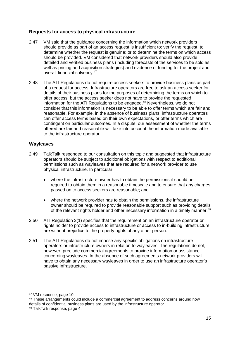## **Requests for access to physical infrastructure**

- 2.47 VM said that the guidance concerning the information which network providers should provide as part of an access request is insufficient to: verify the request; to determine whether the request is genuine; or to determine the terms on which access should be provided. VM considered that network providers should also provide detailed and verified business plans (including forecasts of the services to be sold as well as pricing and acquisition strategies) and evidence of funding for the project and overall financial solvency.<sup>47</sup>
- 2.48 The ATI Regulations do not require access seekers to provide business plans as part of a request for access. Infrastructure operators are free to ask an access seeker for details of their business plans for the purposes of determining the terms on which to offer access, but the access seeker does not have to provide the requested information for the ATI Regulations to be engaged. <sup>48</sup> Nevertheless, we do not consider that this information is necessary to be able to offer terms which are fair and reasonable. For example, in the absence of business plans, infrastructure operators can offer access terms based on their own expectations, or offer terms which are contingent on particular outcomes. In a dispute, our assessment of whether the terms offered are fair and reasonable will take into account the information made available to the infrastructure operator.

## **Wayleaves**

- 2.49 TalkTalk responded to our consultation on this topic and suggested that infrastructure operators should be subject to additional obligations with respect to additional permissions such as wayleaves that are required for a network provider to use physical infrastructure. In particular:
	- where the infrastructure owner has to obtain the permissions it should be required to obtain them in a reasonable timescale and to ensure that any charges passed on to access seekers are reasonable; and
	- where the network provider has to obtain the permissions, the infrastructure owner should be required to provide reasonable support such as providing details of the relevant rights holder and other necessary information in a timely manner.<sup>49</sup>
- 2.50 ATI Regulation 3(1) specifies that the requirement on an infrastructure operator or rights holder to provide access to infrastructure or access to in-building infrastructure are without prejudice to the property rights of any other person.
- 2.51 The ATI Regulations do not impose any specific obligations on infrastructure operators or infrastructure owners in relation to wayleaves. The regulations do not, however, preclude commercial agreements to provide information or assistance concerning wayleaves. In the absence of such agreements network providers will have to obtain any necessary wayleaves in order to use an infrastructure operator's passive infrastructure.

<sup>47</sup> VM response, page 10.

<sup>48</sup> These arrangements could include a commercial agreement to address concerns around how details of confidential business plans are used by the infrastructure operator.

<sup>49</sup> TalkTalk response, page 4.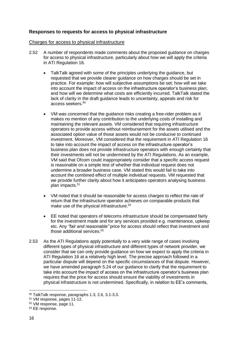## **Responses to requests for access to physical infrastructure**

#### Charges for access to physical infrastructure

- 2.52 A number of respondents made comments about the proposed guidance on charges for access to physical infrastructure, particularly about how we will apply the criteria in ATI Regulation 16.
	- TalkTalk agreed with some of the principles underlying the guidance, but requested that we provide clearer guidance on how charges should be set in practice. For example: how will subjective assumptions be set; how will we take into account the impact of access on the infrastructure operator's business plan; and how will we determine what costs are efficiently incurred. TalkTalk stated the lack of clarity in the draft guidance leads to uncertainty, appeals and risk for access seekers.<sup>50</sup>
	- VM was concerned that the guidance risks creating a free-rider problem as it makes no mention of any contribution to the underlying costs of installing and maintaining the relevant assets. VM considered that requiring infrastructure operators to provide access without reimbursement for the assets utilised and the associated option value of those assets would not be conducive to continued investment. Moreover, VM considered that the requirement in ATI Regulation 16 to take into account the impact of access on the infrastructure operator's business plan does not provide infrastructure operators with enough certainty that their investments will not be undermined by the ATI Regulations. As an example, VM said that Ofcom could inappropriately consider that a specific access request is reasonable on a simple test of whether that individual request does not undermine a broader business case. VM stated this would fail to take into account the combined effect of multiple individual requests. VM requested that we provide further clarity about how it anticipates operators analysing business plan impacts. 51
	- VM noted that it should be reasonable for access charges to reflect the rate of return that the infrastructure operator achieves on comparable products that make use of the physical infrastructure.<sup>52</sup>
	- EE noted that operators of telecoms infrastructure should be compensated fairly for the investment made and for any services provided e.g. maintenance, upkeep etc. Any *"fair and reasonable"* price for access should reflect that investment and those additional services.<sup>53</sup>
- 2.53 As the ATI Regulations apply potentially to a very wide range of cases involving different types of physical infrastructure and different types of network provider, we consider that we can only provide guidance on how we expect to apply the criteria in ATI Regulation 16 at a relatively high level. The precise approach followed in a particular dispute will depend on the specific circumstances of that dispute. However, we have amended paragraph 5.24 of our guidance to clarify that the requirement to take into account the impact of access on the infrastructure operator's business plan requires that the price for access should ensure the viability of investments in physical infrastructure is not undermined. Specifically, in relation to EE's comments,

<sup>50</sup> TalkTalk response, paragraphs 1.3, 2.6, 3.1-3.3.

<sup>51</sup> VM response, pages 11-12.

<sup>52</sup> VM response, page 11.

<sup>53</sup> EE response.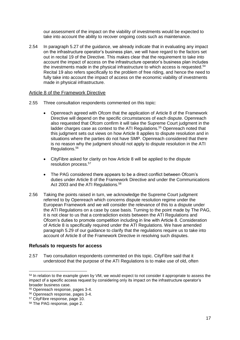our assessment of the impact on the viability of investments would be expected to take into account the ability to recover ongoing costs such as maintenance.

2.54 In paragraph 5.27 of the guidance, we already indicate that in evaluating any impact on the infrastructure operator's business plan, we will have regard to the factors set out in recital 19 of the Directive. This makes clear that the requirement to take into account the impact of access on the infrastructure operator's business plan includes the investments made in the physical infrastructure to which access is requested.<sup>54</sup> Recital 19 also refers specifically to the problem of free riding, and hence the need to fully take into account the impact of access on the economic viability of investments made in physical infrastructure.

#### Article 8 of the Framework Directive

- 2.55 Three consultation respondents commented on this topic:
	- Openreach agreed with Ofcom that the application of Article 8 of the Framework Directive will depend on the specific circumstances of each dispute. Openreach also requested that Ofcom confirm it will take the Supreme Court judgment in the ladder charges case as context to the ATI Regulations.<sup>55</sup> Openreach noted that this judgment sets out views on how Article 8 applies to dispute resolution and in situations where the parties do not have SMP. Openreach considered that there is no reason why the judgment should not apply to dispute resolution in the ATI Regulations. 56
	- CityFibre asked for clarity on how Article 8 will be applied to the dispute resolution process.<sup>57</sup>
	- The PAG considered there appears to be a direct conflict between Ofcom's duties under Article 8 of the Framework Directive and under the Communications Act 2003 and the ATI Regulations.<sup>58</sup>
- 2.56 Taking the points raised in turn, we acknowledge the Supreme Court judgment referred to by Openreach which concerns dispute resolution regime under the European Framework and we will consider the relevance of this to a dispute under the ATI Regulations on a case by case basis. Turning to the point made by The PAG, it is not clear to us that a contradiction exists between the ATI Regulations and Ofcom's duties to promote competition including in line with Article 8. Consideration of Article 8 is specifically required under the ATI Regulations. We have amended paragraph 5.29 of our guidance to clarify that the regulations require us to take into account of Article 8 of the Framework Directive in resolving such disputes.

#### **Refusals to requests for access**

2.57 Two consultation respondents commented on this topic. CityFibre said that it understood that the purpose of the ATI Regulations is to make use of old, often

<sup>&</sup>lt;sup>54</sup> In relation to the example given by VM, we would expect to not consider it appropriate to assess the impact of a specific access request by considering only its impact on the infrastructure operator's broader business case.

<sup>55</sup> Openreach response, pages 3-4.

<sup>56</sup> Openreach response, pages 3-4.

<sup>57</sup> CityFibre response, page 10.

<sup>58</sup> The PAG response, page 2.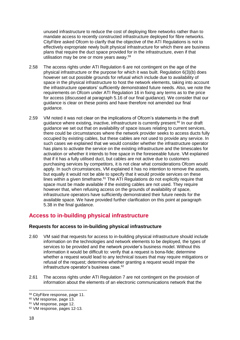unused infrastructure to reduce the cost of deploying fibre networks rather than to mandate access to recently constructed infrastructure deployed for fibre networks. CityFibre asked Ofcom to clarify that the objective of the ATI Regulations is not to effectively expropriate newly built physical infrastructure for which there are business plans that require the duct space provided for in the infrastructure, even if that utilisation may be one or more years away. 59

- 2.58 The access rights under ATI Regulation 6 are not contingent on the age of the physical infrastructure or the purpose for which it was built. Regulation 6(3)(b) does however set out possible grounds for refusal which include due to availability of space in the physical infrastructure to host the network elements, taking into account the infrastructure operators' sufficiently demonstrated future needs. Also, we note the requirements on Ofcom under ATI Regulation 16 in fixing any terms as to the price for access (discussed at paragraph 5.16 of our final guidance). We consider that our guidance is clear on these points and have therefore not amended our final guidance.
- 2.59 VM noted it was not clear on the implications of Ofcom's statements in the draft guidance where existing, inactive, infrastructure is currently present.<sup>60</sup> In our draft guidance we set out that on availability of space issues relating to current services, there could be circumstances where the network provider seeks to access ducts fully occupied by existing cables, but these cables are not used to provide any service. In such cases we explained that we would consider whether the infrastructure operator has plans to activate the service on the existing infrastructure and the timescales for activation or whether it intends to free space in the foreseeable future. VM explained that if it has a fully utilised duct, but cables are not active due to customers purchasing services by competitors, it is not clear what considerations Ofcom would apply. In such circumstances, VM explained it has no intention to remove the assets, but equally it would not be able to specify that it would provide services on these lines within a given timeframe.<sup>61</sup> The ATI Regulations do not explicitly require that space must be made available if the existing cables are not used. They require however that, when refusing access on the grounds of availability of space, infrastructure operators have sufficiently demonstrated their future needs for the available space. We have provided further clarification on this point at paragraph 5.38 in the final guidance.

# **Access to in-building physical infrastructure**

## **Requests for access to in-building physical infrastructure**

- 2.60 VM said that requests for access to in-building physical infrastructure should include information on the technologies and network elements to be deployed, the types of services to be provided and the network provider's business model. Without this information it would be difficult to: verify that a request is bona-fide; determine whether a request would lead to any technical issues that may require mitigations or refusal of the request; determine whether granting a request would impair the infrastructure operator's business case.<sup>62</sup>
- 2.61 The access rights under ATI Regulation 7 are not contingent on the provision of information about the elements of an electronic communications network that the

<sup>59</sup> CityFibre response, page 11.

<sup>60</sup> VM response, page 13.

<sup>&</sup>lt;sup>61</sup> VM response, page 12.

<sup>62</sup> VM response, pages 12-13.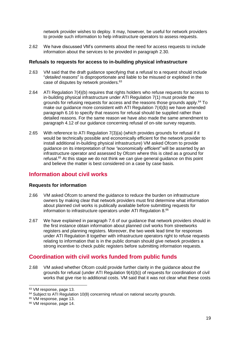network provider wishes to deploy. It may, however, be useful for network providers to provide such information to help infrastructure operators to assess requests.

2.62 We have discussed VM's comments about the need for access requests to include information about the services to be provided in paragraph 2.30.

#### **Refusals to requests for access to in-building physical infrastructure**

- 2.63 VM said that the draft guidance specifying that a refusal to a request should include "*detailed reasons*" is disproportionate and liable to be misused or exploited in the case of disputes by network providers.<sup>63</sup>
- 2.64 ATI Regulation 7(4)(b) requires that rights holders who refuse requests for access to in-building physical infrastructure under ATI Regulation 7(1) must provide the grounds for refusing requests for access and the reasons those grounds apply. <sup>64</sup> To make our guidance more consistent with ATI Regulation 7(4)(b) we have amended paragraph 6.16 to specify that reasons for refusal should be supplied rather than detailed reasons. For the same reason we have also made the same amendment to paragraph 4.12 of our guidance concerning refusal of on-site survey requests.
- 2.65 With reference to ATI Regulation 7(3)(a) (which provides grounds for refusal if it would be technically possible and economically efficient for the network provider to install additional in-building physical infrastructure) VM asked Ofcom to provide guidance on its interpretation of how *"economically efficient"* will be asserted by an infrastructure operator and assessed by Ofcom where this is cited as a ground for refusal.<sup>65</sup> At this stage we do not think we can give general guidance on this point and believe the matter is best considered on a case by case basis.

# **Information about civil works**

## **Requests for information**

- 2.66 VM asked Ofcom to amend the guidance to reduce the burden on infrastructure owners by making clear that network providers must first determine what information about planned civil works is publically available before submitting requests for information to infrastructure operators under ATI Regulation 8.<sup>66</sup>
- 2.67 We have explained in paragraph 7.6 of our guidance that network providers should in the first instance obtain information about planned civil works from streetworks registers and planning registers. Moreover, the two week lead time for responses under ATI Regulation 8 together with infrastructure operators right to refuse requests relating to information that is in the public domain should give network providers a strong incentive to check public registers before submitting information requests.

# **Coordination with civil works funded from public funds**

2.68 VM asked whether Ofcom could provide further clarity in the guidance about the grounds for refusal (under ATI Regulation 9(4)(b)) of requests for coordination of civil works that give rise to additional costs. VM said that it was not clear what these costs

<sup>63</sup> VM response, page 13.

<sup>&</sup>lt;sup>64</sup> Subject to ATI Regulation 10(8) concerning refusal on national security grounds.

<sup>&</sup>lt;sup>65</sup> VM response, page 13.

<sup>66</sup> VM response, page 14.